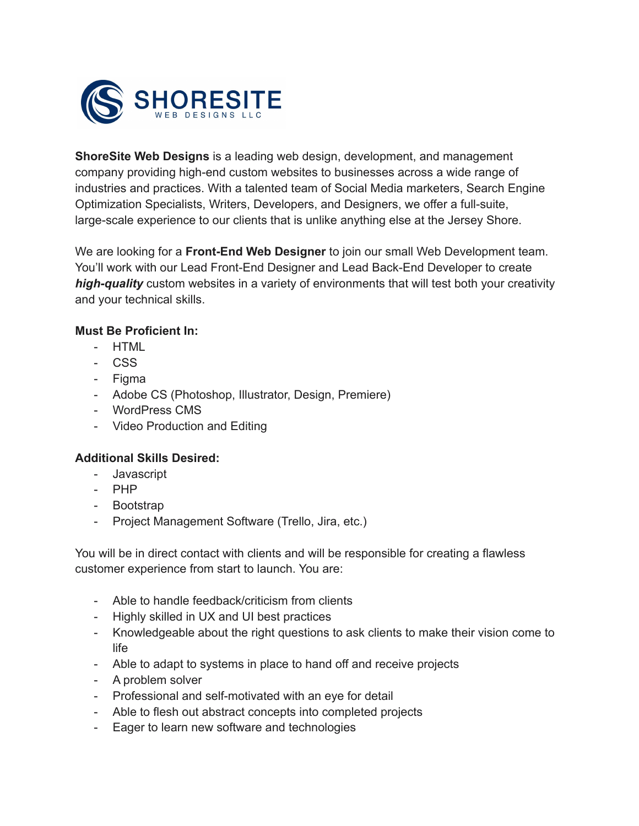

**ShoreSite Web Designs** is a leading web design, development, and management company providing high-end custom websites to businesses across a wide range of industries and practices. With a talented team of Social Media marketers, Search Engine Optimization Specialists, Writers, Developers, and Designers, we offer a full-suite, large-scale experience to our clients that is unlike anything else at the Jersey Shore.

We are looking for a **Front-End Web Designer** to join our small Web Development team. You'll work with our Lead Front-End Designer and Lead Back-End Developer to create *high-quality* custom websites in a variety of environments that will test both your creativity and your technical skills.

## **Must Be Proficient In:**

- HTML
- CSS
- Figma
- Adobe CS (Photoshop, Illustrator, Design, Premiere)
- WordPress CMS
- Video Production and Editing

## **Additional Skills Desired:**

- Javascript
- PHP
- Bootstrap
- Project Management Software (Trello, Jira, etc.)

You will be in direct contact with clients and will be responsible for creating a flawless customer experience from start to launch. You are:

- Able to handle feedback/criticism from clients
- Highly skilled in UX and UI best practices
- Knowledgeable about the right questions to ask clients to make their vision come to life
- Able to adapt to systems in place to hand off and receive projects
- A problem solver
- Professional and self-motivated with an eye for detail
- Able to flesh out abstract concepts into completed projects
- Eager to learn new software and technologies